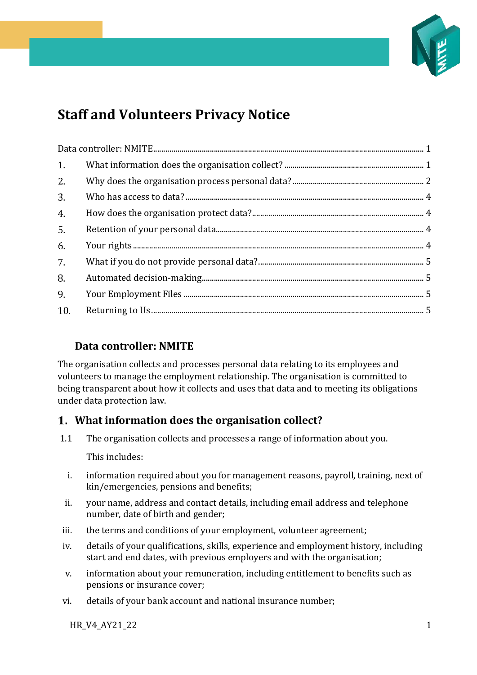

# **Staff and Volunteers Privacy Notice**

| 1 <sub>1</sub> |  |  |
|----------------|--|--|
| 2.             |  |  |
| 3.             |  |  |
| 4.             |  |  |
| 5.             |  |  |
| 6.             |  |  |
| 7.             |  |  |
| 8.             |  |  |
| 9.             |  |  |
| 10.            |  |  |

# <span id="page-0-0"></span>**Data controller: NMITE**

The organisation collects and processes personal data relating to its employees and volunteers to manage the employment relationship. The organisation is committed to being transparent about how it collects and uses that data and to meeting its obligations under data protection law.

# <span id="page-0-1"></span>**What information does the organisation collect?**

1.1 The organisation collects and processes a range of information about you.

This includes:

- i. information required about you for management reasons, payroll, training, next of kin/emergencies, pensions and benefits;
- ii. your name, address and contact details, including email address and telephone number, date of birth and gender;
- iii. the terms and conditions of your employment, volunteer agreement;
- iv. details of your qualifications, skills, experience and employment history, including start and end dates, with previous employers and with the organisation;
- v. information about your remuneration, including entitlement to benefits such as pensions or insurance cover;
- vi. details of your bank account and national insurance number;

HR\_V4\_AY21\_22 1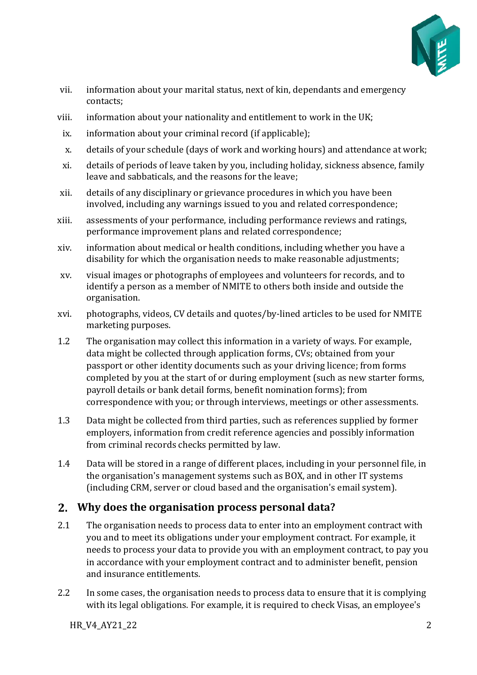

- vii. information about your marital status, next of kin, dependants and emergency contacts;
- viii. information about your nationality and entitlement to work in the UK;
- ix. information about your criminal record (if applicable);
- x. details of your schedule (days of work and working hours) and attendance at work;
- xi. details of periods of leave taken by you, including holiday, sickness absence, family leave and sabbaticals, and the reasons for the leave;
- xii. details of any disciplinary or grievance procedures in which you have been involved, including any warnings issued to you and related correspondence;
- xiii. assessments of your performance, including performance reviews and ratings, performance improvement plans and related correspondence;
- xiv. information about medical or health conditions, including whether you have a disability for which the organisation needs to make reasonable adjustments;
- xv. visual images or photographs of employees and volunteers for records, and to identify a person as a member of NMITE to others both inside and outside the organisation.
- xvi. photographs, videos, CV details and quotes/by-lined articles to be used for NMITE marketing purposes.
- 1.2 The organisation may collect this information in a variety of ways. For example, data might be collected through application forms, CVs; obtained from your passport or other identity documents such as your driving licence; from forms completed by you at the start of or during employment (such as new starter forms, payroll details or bank detail forms, benefit nomination forms); from correspondence with you; or through interviews, meetings or other assessments.
- 1.3 Data might be collected from third parties, such as references supplied by former employers, information from credit reference agencies and possibly information from criminal records checks permitted by law.
- 1.4 Data will be stored in a range of different places, including in your personnel file, in the organisation's management systems such as BOX, and in other IT systems (including CRM, server or cloud based and the organisation's email system).

## <span id="page-1-0"></span>**Why does the organisation process personal data?**

- 2.1 The organisation needs to process data to enter into an employment contract with you and to meet its obligations under your employment contract. For example, it needs to process your data to provide you with an employment contract, to pay you in accordance with your employment contract and to administer benefit, pension and insurance entitlements.
- 2.2 In some cases, the organisation needs to process data to ensure that it is complying with its legal obligations. For example, it is required to check Visas, an employee's

HR\_V4\_AY21\_22 2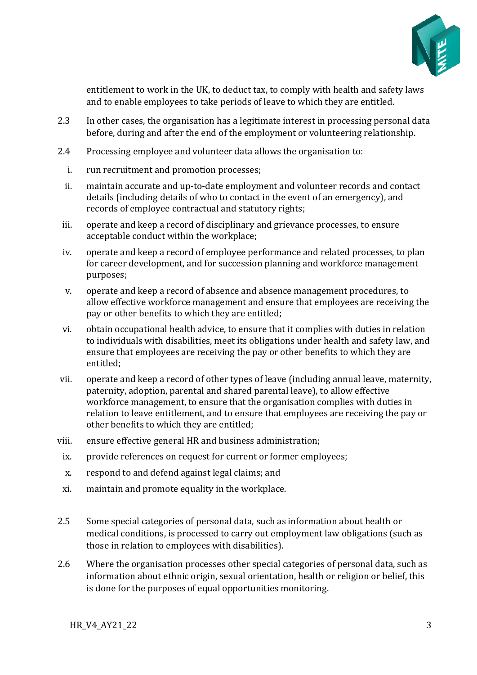

entitlement to work in the UK, to deduct tax, to comply with health and safety laws and to enable employees to take periods of leave to which they are entitled.

- 2.3 In other cases, the organisation has a legitimate interest in processing personal data before, during and after the end of the employment or volunteering relationship.
- 2.4 Processing employee and volunteer data allows the organisation to:
	- i. run recruitment and promotion processes;
	- ii. maintain accurate and up-to-date employment and volunteer records and contact details (including details of who to contact in the event of an emergency), and records of employee contractual and statutory rights;
- iii. operate and keep a record of disciplinary and grievance processes, to ensure acceptable conduct within the workplace;
- iv. operate and keep a record of employee performance and related processes, to plan for career development, and for succession planning and workforce management purposes;
- v. operate and keep a record of absence and absence management procedures, to allow effective workforce management and ensure that employees are receiving the pay or other benefits to which they are entitled;
- vi. obtain occupational health advice, to ensure that it complies with duties in relation to individuals with disabilities, meet its obligations under health and safety law, and ensure that employees are receiving the pay or other benefits to which they are entitled;
- vii. operate and keep a record of other types of leave (including annual leave, maternity, paternity, adoption, parental and shared parental leave), to allow effective workforce management, to ensure that the organisation complies with duties in relation to leave entitlement, and to ensure that employees are receiving the pay or other benefits to which they are entitled;
- viii. ensure effective general HR and business administration;
- ix. provide references on request for current or former employees;
- x. respond to and defend against legal claims; and
- xi. maintain and promote equality in the workplace.
- 2.5 Some special categories of personal data, such as information about health or medical conditions, is processed to carry out employment law obligations (such as those in relation to employees with disabilities).
- 2.6 Where the organisation processes other special categories of personal data, such as information about ethnic origin, sexual orientation, health or religion or belief, this is done for the purposes of equal opportunities monitoring.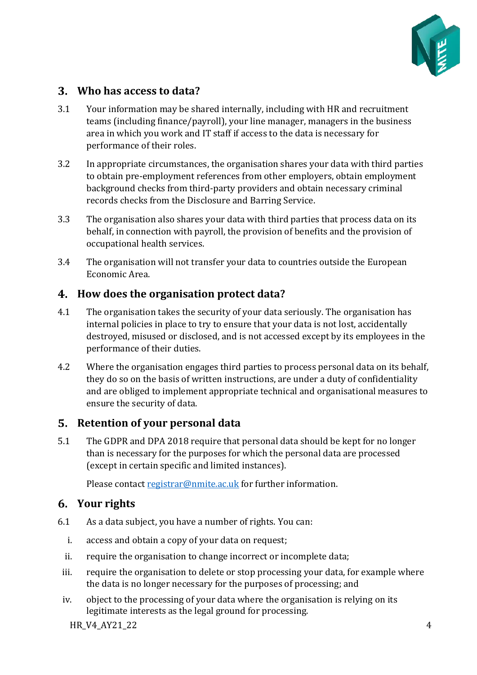

## <span id="page-3-0"></span>**Who has access to data?**

- 3.1 Your information may be shared internally, including with HR and recruitment teams (including finance/payroll), your line manager, managers in the business area in which you work and IT staff if access to the data is necessary for performance of their roles.
- 3.2 In appropriate circumstances, the organisation shares your data with third parties to obtain pre-employment references from other employers, obtain employment background checks from third-party providers and obtain necessary criminal records checks from the Disclosure and Barring Service.
- 3.3 The organisation also shares your data with third parties that process data on its behalf, in connection with payroll, the provision of benefits and the provision of occupational health services.
- 3.4 The organisation will not transfer your data to countries outside the European Economic Area.

#### <span id="page-3-1"></span>**How does the organisation protect data?**

- 4.1 The organisation takes the security of your data seriously. The organisation has internal policies in place to try to ensure that your data is not lost, accidentally destroyed, misused or disclosed, and is not accessed except by its employees in the performance of their duties.
- 4.2 Where the organisation engages third parties to process personal data on its behalf, they do so on the basis of written instructions, are under a duty of confidentiality and are obliged to implement appropriate technical and organisational measures to ensure the security of data.

#### <span id="page-3-2"></span>**Retention of your personal data**

5.1 The GDPR and DPA 2018 require that personal data should be kept for no longer than is necessary for the purposes for which the personal data are processed (except in certain specific and limited instances).

Please contac[t registrar@nmite.ac.uk](mailto:registrar@nmite.ac.uk) for further information.

## <span id="page-3-3"></span>**Your rights**

- 6.1 As a data subject, you have a number of rights. You can:
	- i. access and obtain a copy of your data on request;
	- ii. require the organisation to change incorrect or incomplete data;
	- iii. require the organisation to delete or stop processing your data, for example where the data is no longer necessary for the purposes of processing; and
	- iv. object to the processing of your data where the organisation is relying on its legitimate interests as the legal ground for processing.

 $HR$  V4 AY21 22 4